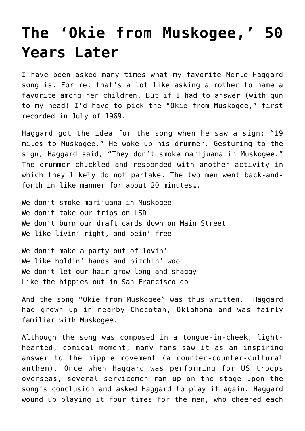## **[The 'Okie from Muskogee,' 50](https://intellectualtakeout.org/2019/07/the-okie-from-muskogee-50-years-later/) [Years Later](https://intellectualtakeout.org/2019/07/the-okie-from-muskogee-50-years-later/)**

I have been asked many times what my favorite Merle Haggard song is. For me, that's a lot like asking a mother to name a favorite among her children. But if I had to answer (with gun to my head) I'd have to pick the "Okie from Muskogee," first recorded in July of 1969.

Haggard got the idea for the song when he saw a sign: "19 miles to Muskogee." He woke up his drummer. Gesturing to the sign, Haggard said, "They don't smoke marijuana in Muskogee." The drummer chuckled and responded with another activity in which they likely do not partake. The two men went back-andforth in like manner for about 20 minutes….

We don't smoke marijuana in Muskogee We don't take our trips on LSD We don't burn our draft cards down on Main Street We like livin' right, and bein' free

We don't make a party out of lovin' We like holdin' hands and pitchin' woo We don't let our hair grow long and shaggy Like the hippies out in San Francisco do

And the song "Okie from Muskogee" was thus written. Haggard had grown up in nearby Checotah, Oklahoma and was fairly familiar with Muskogee.

Although the song was composed in a tongue-in-cheek, lighthearted, comical moment, many fans saw it as an inspiring answer to the hippie movement (a counter-counter-cultural anthem). Once when Haggard was performing for US troops overseas, several servicemen ran up on the stage upon the song's conclusion and asked Haggard to play it again. Haggard wound up playing it four times for the men, who cheered each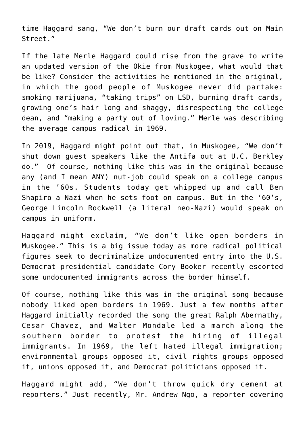time Haggard sang, "We don't burn our draft cards out on Main Street."

If the late Merle Haggard could rise from the grave to write an updated version of the Okie from Muskogee, what would that be like? Consider the activities he mentioned in the original, in which the good people of Muskogee never did partake: smoking marijuana, "taking trips" on LSD, burning draft cards, growing one's hair long and shaggy, disrespecting the college dean, and "making a party out of loving." Merle was describing the average campus radical in 1969.

In 2019, Haggard might point out that, in Muskogee, "We don't shut down guest speakers like the Antifa out at U.C. Berkley do." Of course, nothing like this was in the original because any (and I mean ANY) nut-job could speak on a college campus in the '60s. Students today get whipped up and call Ben Shapiro a Nazi when he sets foot on campus. But in the '60's, George Lincoln Rockwell (a literal neo-Nazi) would speak on campus in uniform.

Haggard might exclaim, "We don't like open borders in Muskogee." This is a big issue today as more radical political figures seek to decriminalize undocumented entry into the U.S. Democrat presidential candidate Cory Booker recently escorted some undocumented immigrants across the border himself.

Of course, nothing like this was in the original song because nobody liked open borders in 1969. Just a few months after Haggard initially recorded the song the great Ralph Abernathy, Cesar Chavez, and Walter Mondale led a march along the southern border to protest the hiring of illegal immigrants. In 1969, the left hated illegal immigration; environmental groups opposed it, civil rights groups opposed it, unions opposed it, and Democrat politicians opposed it.

Haggard might add, "We don't throw quick dry cement at reporters." Just recently, Mr. Andrew Ngo, a reporter covering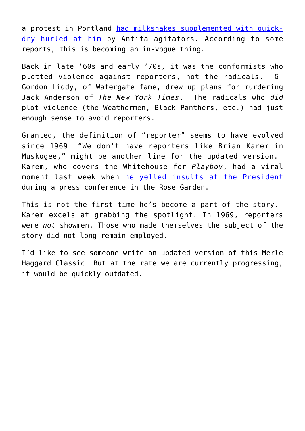a protest in Portland [had milkshakes supplemented with quick](https://www.wsj.com/articles/antifa-attacks-a-journalist-11562021361)[dry hurled at him](https://www.wsj.com/articles/antifa-attacks-a-journalist-11562021361) by Antifa agitators. According to some reports, this is becoming an in-vogue thing.

Back in late '60s and early '70s, it was the conformists who plotted violence against reporters, not the radicals. G. Gordon Liddy, of Watergate fame, drew up plans for murdering Jack Anderson of *The New York Times*. The radicals who *did* plot violence (the Weathermen, Black Panthers, etc.) had just enough sense to avoid reporters.

Granted, the definition of "reporter" seems to have evolved since 1969. "We don't have reporters like Brian Karem in Muskogee," might be another line for the updated version. Karem, who covers the Whitehouse for *Playboy*, had a viral moment last week when [he yelled insults at the President](https://www.washingtontimes.com/news/2019/jul/11/sebastian-gorka-brian-karem-cnn-get-rose-garden-al/) during a press conference in the Rose Garden.

This is not the first time he's become a part of the story. Karem excels at grabbing the spotlight. In 1969, reporters were *not* showmen. Those who made themselves the subject of the story did not long remain employed.

I'd like to see someone write an updated version of this Merle Haggard Classic. But at the rate we are currently progressing, it would be quickly outdated.